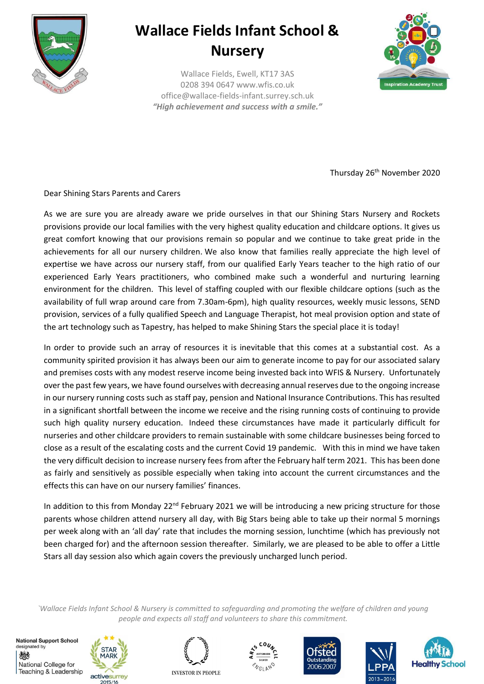

## **Wallace Fields Infant School & Nursery**

Wallace Fields, Ewell, KT17 3AS 0208 394 0647 www.wfis.co.uk office@wallace-fields-infant.surrey.sch.uk *"High achievement and success with a smile."*



Thursday 26<sup>th</sup> November 2020

## Dear Shining Stars Parents and Carers

As we are sure you are already aware we pride ourselves in that our Shining Stars Nursery and Rockets provisions provide our local families with the very highest quality education and childcare options. It gives us great comfort knowing that our provisions remain so popular and we continue to take great pride in the achievements for all our nursery children. We also know that families really appreciate the high level of expertise we have across our nursery staff, from our qualified Early Years teacher to the high ratio of our experienced Early Years practitioners, who combined make such a wonderful and nurturing learning environment for the children. This level of staffing coupled with our flexible childcare options (such as the availability of full wrap around care from 7.30am-6pm), high quality resources, weekly music lessons, SEND provision, services of a fully qualified Speech and Language Therapist, hot meal provision option and state of the art technology such as Tapestry, has helped to make Shining Stars the special place it is today!

In order to provide such an array of resources it is inevitable that this comes at a substantial cost. As a community spirited provision it has always been our aim to generate income to pay for our associated salary and premises costs with any modest reserve income being invested back into WFIS & Nursery. Unfortunately over the past few years, we have found ourselves with decreasing annual reserves due to the ongoing increase in our nursery running costs such as staff pay, pension and National Insurance Contributions. This has resulted in a significant shortfall between the income we receive and the rising running costs of continuing to provide such high quality nursery education. Indeed these circumstances have made it particularly difficult for nurseries and other childcare providers to remain sustainable with some childcare businesses being forced to close as a result of the escalating costs and the current Covid 19 pandemic. With this in mind we have taken the very difficult decision to increase nursery fees from after the February half term 2021. This has been done as fairly and sensitively as possible especially when taking into account the current circumstances and the effects this can have on our nursery families' finances.

In addition to this from Monday  $22^{nd}$  February 2021 we will be introducing a new pricing structure for those parents whose children attend nursery all day, with Big Stars being able to take up their normal 5 mornings per week along with an 'all day' rate that includes the morning session, lunchtime (which has previously not been charged for) and the afternoon session thereafter. Similarly, we are pleased to be able to offer a Little Stars all day session also which again covers the previously uncharged lunch period.

*`Wallace Fields Infant School & Nursery is committed to safeguarding and promoting the welfare of children and young people and expects all staff and volunteers to share this commitment.*

**National Support School** designated by 物 National College for Teaching & Leadership